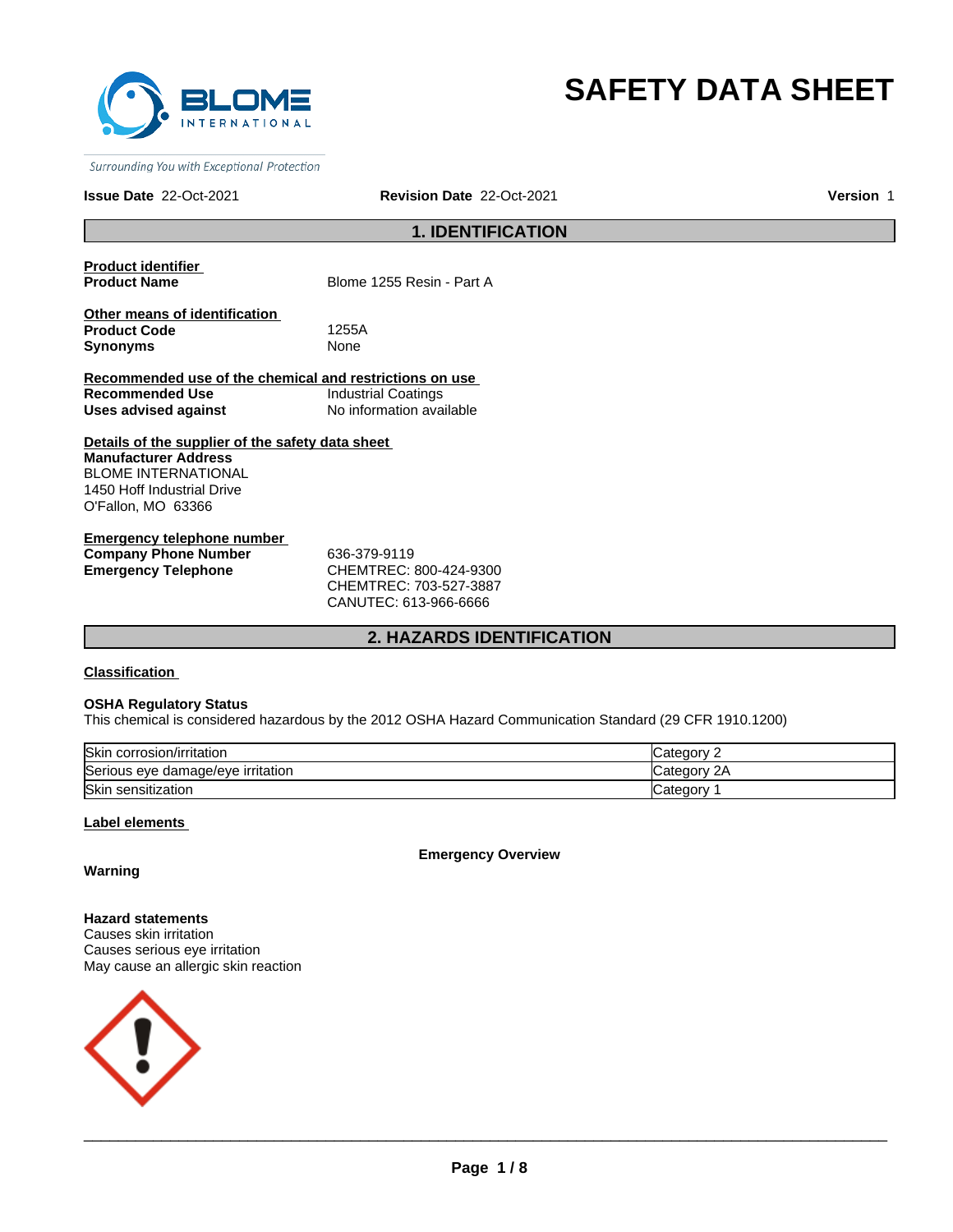

# **SAFETY DATA SHEET**

Surrounding You with Exceptional Protection

# **Issue Date** 22-Oct-2021 **Revision Date** 22-Oct-2021 **Version** 1

# **1. IDENTIFICATION**

**Product identifier** 

**Blome 1255 Resin - Part A** 

**Other means of identification Product Code** 1255A **Synonyms** None

**Recommended use of the chemical and restrictions on use Recommended Use** Industrial Coatings **Uses advised against** No information available

**Details of the supplier of the safety data sheet Manufacturer Address** BLOME INTERNATIONAL 1450 Hoff Industrial Drive O'Fallon, MO 63366

**Emergency telephone number Company Phone Number** 636-379-9119 **Emergency Telephone** CHEMTREC: 800-424-9300

CHEMTREC: 703-527-3887 CANUTEC: 613-966-6666

# **2. HAZARDS IDENTIFICATION**

**Classification** 

### **OSHA Regulatory Status**

This chemical is considered hazardous by the 2012 OSHA Hazard Communication Standard (29 CFR 1910.1200)

| <b>Skin</b><br>corrosion/irritation | ≀aor                       |
|-------------------------------------|----------------------------|
| Serious eye damage/eye irritation   | 2Α<br>Jatedor <sup>y</sup> |
| Skin<br>ı sensitization             | −ategor                    |

# **Label elements**

**Emergency Overview**

# **Warning**

**Hazard statements** Causes skin irritation Causes serious eye irritation May cause an allergic skin reaction

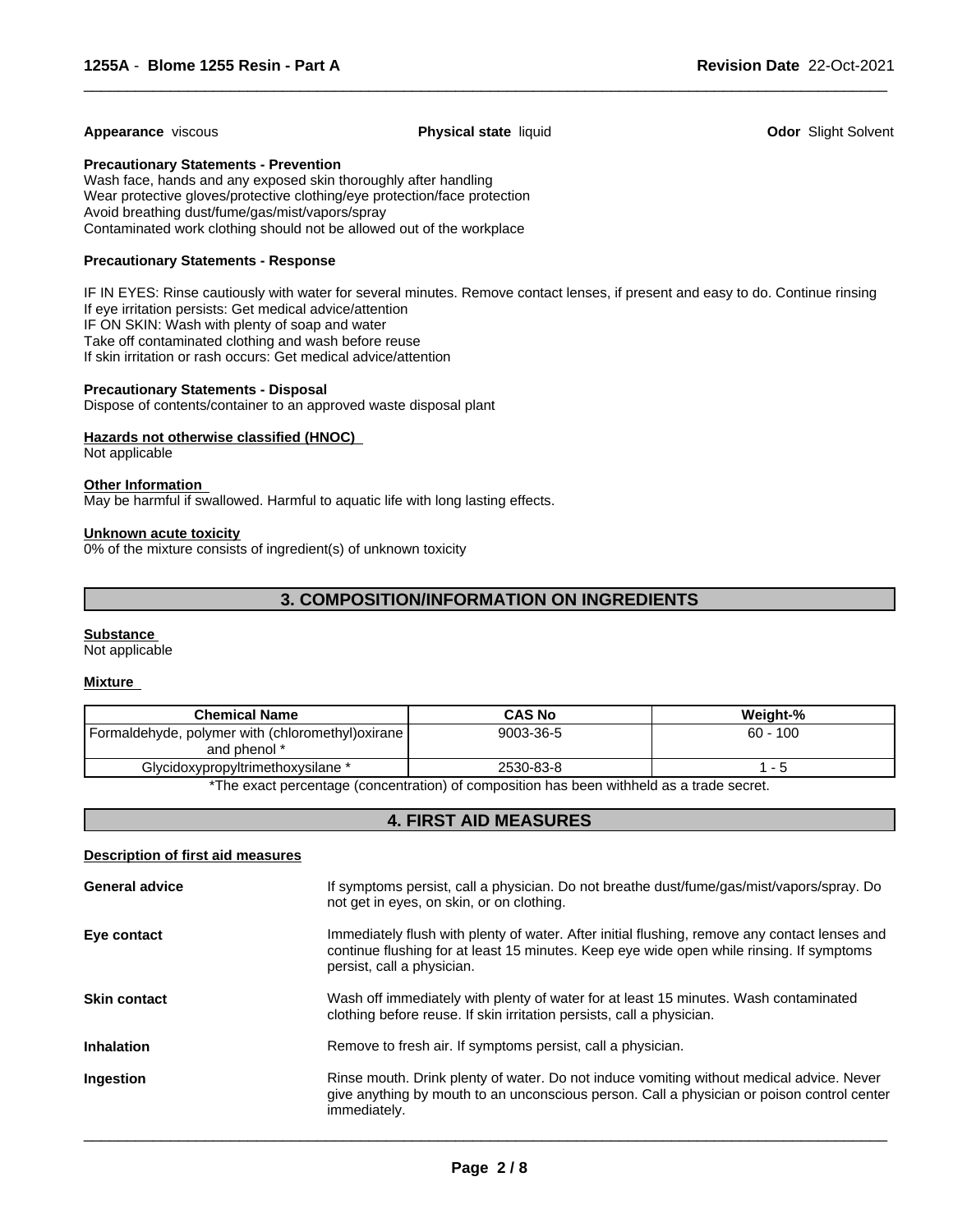#### **Appearance** viscous **Physical state** liquid **Odor** Slight Solvent

 $\overline{\phantom{a}}$  ,  $\overline{\phantom{a}}$  ,  $\overline{\phantom{a}}$  ,  $\overline{\phantom{a}}$  ,  $\overline{\phantom{a}}$  ,  $\overline{\phantom{a}}$  ,  $\overline{\phantom{a}}$  ,  $\overline{\phantom{a}}$  ,  $\overline{\phantom{a}}$  ,  $\overline{\phantom{a}}$  ,  $\overline{\phantom{a}}$  ,  $\overline{\phantom{a}}$  ,  $\overline{\phantom{a}}$  ,  $\overline{\phantom{a}}$  ,  $\overline{\phantom{a}}$  ,  $\overline{\phantom{a}}$ 

# **Precautionary Statements - Prevention**

Wash face, hands and any exposed skin thoroughly after handling Wear protective gloves/protective clothing/eye protection/face protection Avoid breathing dust/fume/gas/mist/vapors/spray Contaminated work clothing should not be allowed out of the workplace

# **Precautionary Statements - Response**

IF IN EYES: Rinse cautiously with water for several minutes. Remove contact lenses, if present and easy to do. Continue rinsing If eye irritation persists: Get medical advice/attention IF ON SKIN: Wash with plenty of soap and water Take off contaminated clothing and wash before reuse If skin irritation or rash occurs: Get medical advice/attention

# **Precautionary Statements - Disposal**

Dispose of contents/container to an approved waste disposal plant

# **Hazards not otherwise classified (HNOC)**

Not applicable

# **Other Information**

May be harmful if swallowed. Harmful to aquatic life with long lasting effects.

#### **Unknown acute toxicity**

0% of the mixture consists of ingredient(s) of unknown toxicity

# **3. COMPOSITION/INFORMATION ON INGREDIENTS**

#### **Substance**

Not applicable

#### **Mixture**

| <b>Chemical Name</b>                                                                      | <b>CAS No</b> | Weight-%   |  |
|-------------------------------------------------------------------------------------------|---------------|------------|--|
| Formaldehyde, polymer with (chloromethyl) oxirane  <br>and phenol *                       | 9003-36-5     | $60 - 100$ |  |
| Glycidoxypropyltrimethoxysilane *                                                         | 2530-83-8     | - 5        |  |
| *The exact percentage (concentration) of composition has been withheld as a trade secret. |               |            |  |

# **4. FIRST AID MEASURES**

# **Description of first aid measures**

| If symptoms persist, call a physician. Do not breathe dust/fume/gas/mist/vapors/spray. Do<br>not get in eyes, on skin, or on clothing.                                                                                  |
|-------------------------------------------------------------------------------------------------------------------------------------------------------------------------------------------------------------------------|
| Immediately flush with plenty of water. After initial flushing, remove any contact lenses and<br>continue flushing for at least 15 minutes. Keep eye wide open while rinsing. If symptoms<br>persist, call a physician. |
| Wash off immediately with plenty of water for at least 15 minutes. Wash contaminated<br>clothing before reuse. If skin irritation persists, call a physician.                                                           |
| Remove to fresh air. If symptoms persist, call a physician.                                                                                                                                                             |
| Rinse mouth. Drink plenty of water. Do not induce vomiting without medical advice. Never<br>give anything by mouth to an unconscious person. Call a physician or poison control center<br>immediately.                  |
|                                                                                                                                                                                                                         |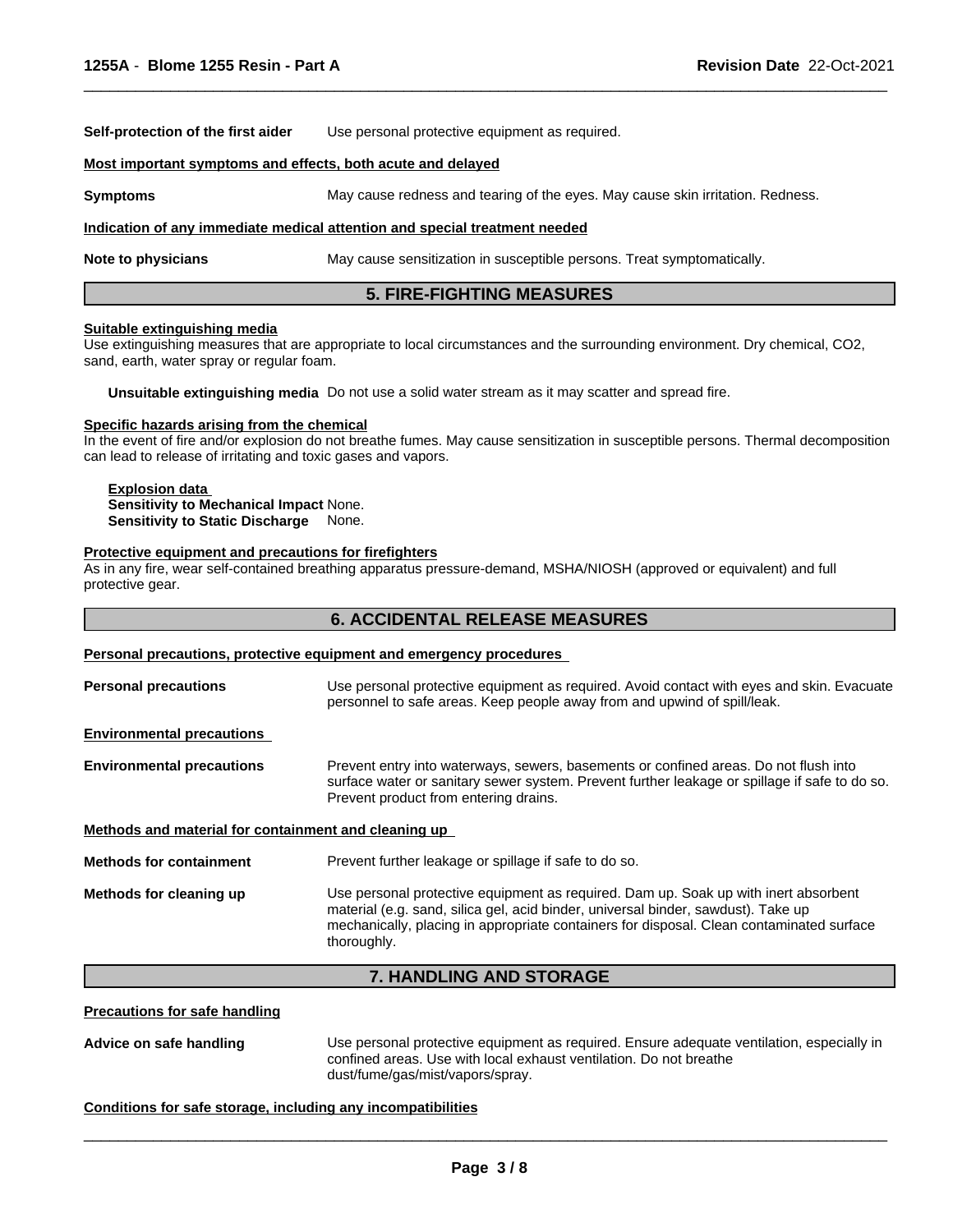**Self-protection of the first aider** Use personal protective equipment as required.

#### **Most important symptoms and effects, both acute and delayed**

**Symptoms** May cause redness and tearing of the eyes. May cause skin irritation. Redness.

### **Indication of any immediate medical attention and special treatment needed**

**Note to physicians** May cause sensitization in susceptible persons. Treat symptomatically.

# **5. FIRE-FIGHTING MEASURES**

 $\overline{\phantom{a}}$  ,  $\overline{\phantom{a}}$  ,  $\overline{\phantom{a}}$  ,  $\overline{\phantom{a}}$  ,  $\overline{\phantom{a}}$  ,  $\overline{\phantom{a}}$  ,  $\overline{\phantom{a}}$  ,  $\overline{\phantom{a}}$  ,  $\overline{\phantom{a}}$  ,  $\overline{\phantom{a}}$  ,  $\overline{\phantom{a}}$  ,  $\overline{\phantom{a}}$  ,  $\overline{\phantom{a}}$  ,  $\overline{\phantom{a}}$  ,  $\overline{\phantom{a}}$  ,  $\overline{\phantom{a}}$ 

#### **Suitable extinguishing media**

Use extinguishing measures that are appropriate to local circumstances and the surrounding environment. Dry chemical, CO2, sand, earth, water spray or regular foam.

**Unsuitable extinguishing media** Do not use a solid water stream as it may scatter and spread fire.

#### **Specific hazards arising from the chemical**

In the event of fire and/or explosion do not breathe fumes. May cause sensitization in susceptible persons. Thermal decomposition can lead to release of irritating and toxic gases and vapors.

# **Explosion data**

**Sensitivity to Mechanical Impact** None. **Sensitivity to Static Discharge** None.

#### **Protective equipment and precautions for firefighters**

As in any fire, wear self-contained breathing apparatus pressure-demand, MSHA/NIOSH (approved or equivalent) and full protective gear.

# **6. ACCIDENTAL RELEASE MEASURES**

#### **Personal precautions, protective equipment and emergency procedures**

**Personal precautions** Use personal protective equipment as required. Avoid contact with eyes and skin. Evacuate personnel to safe areas. Keep people away from and upwind of spill/leak. **Environmental precautions Environmental precautions** Prevent entry into waterways, sewers, basements or confined areas. Do not flush into surface water or sanitary sewer system. Prevent further leakage or spillage if safe to do so. Prevent product from entering drains. **Methods and material for containment and cleaning up Methods for containment** Prevent further leakage or spillage if safe to do so. **Methods for cleaning up** Use personal protective equipment as required. Dam up. Soak up with inert absorbent material (e.g. sand, silica gel, acid binder, universal binder, sawdust). Take up mechanically, placing in appropriate containers for disposal. Clean contaminated surface thoroughly.

# **7. HANDLING AND STORAGE**

# **Precautions for safe handling**

**Advice on safe handling** Use personal protective equipment as required. Ensure adequate ventilation, especially in confined areas. Use with local exhaust ventilation. Do not breathe dust/fume/gas/mist/vapors/spray.

 $\overline{\phantom{a}}$  ,  $\overline{\phantom{a}}$  ,  $\overline{\phantom{a}}$  ,  $\overline{\phantom{a}}$  ,  $\overline{\phantom{a}}$  ,  $\overline{\phantom{a}}$  ,  $\overline{\phantom{a}}$  ,  $\overline{\phantom{a}}$  ,  $\overline{\phantom{a}}$  ,  $\overline{\phantom{a}}$  ,  $\overline{\phantom{a}}$  ,  $\overline{\phantom{a}}$  ,  $\overline{\phantom{a}}$  ,  $\overline{\phantom{a}}$  ,  $\overline{\phantom{a}}$  ,  $\overline{\phantom{a}}$ 

#### **Conditions for safe storage, including any incompatibilities**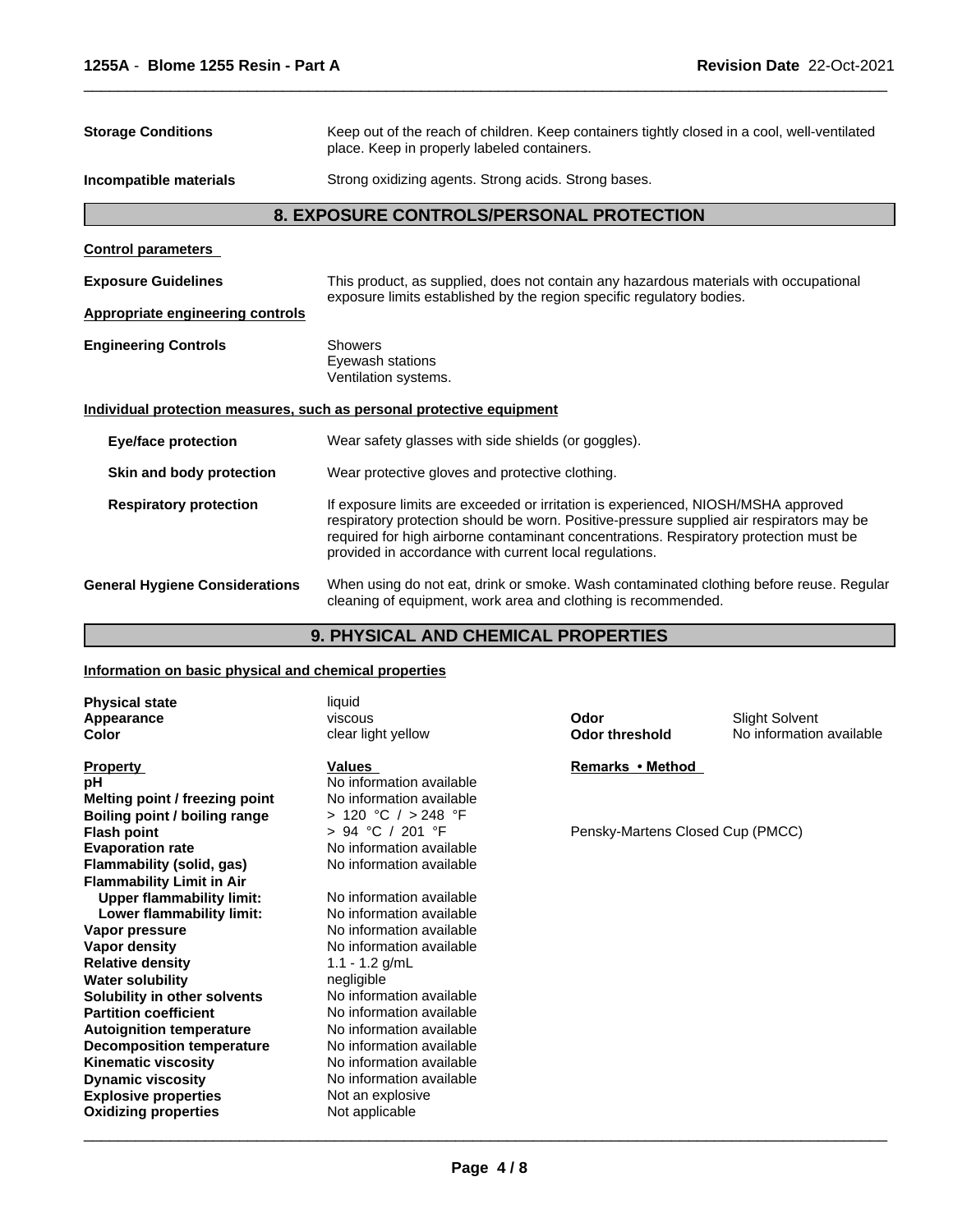| <b>Storage Conditions</b>               | Keep out of the reach of children. Keep containers tightly closed in a cool, well-ventilated<br>place. Keep in properly labeled containers.                                                                                                                                                                                      |  |  |
|-----------------------------------------|----------------------------------------------------------------------------------------------------------------------------------------------------------------------------------------------------------------------------------------------------------------------------------------------------------------------------------|--|--|
| Incompatible materials                  | Strong oxidizing agents. Strong acids. Strong bases.                                                                                                                                                                                                                                                                             |  |  |
|                                         | <b>8. EXPOSURE CONTROLS/PERSONAL PROTECTION</b>                                                                                                                                                                                                                                                                                  |  |  |
| <b>Control parameters</b>               |                                                                                                                                                                                                                                                                                                                                  |  |  |
| <b>Exposure Guidelines</b>              | This product, as supplied, does not contain any hazardous materials with occupational<br>exposure limits established by the region specific regulatory bodies.                                                                                                                                                                   |  |  |
| <b>Appropriate engineering controls</b> |                                                                                                                                                                                                                                                                                                                                  |  |  |
| <b>Engineering Controls</b>             | <b>Showers</b><br>Eyewash stations<br>Ventilation systems.                                                                                                                                                                                                                                                                       |  |  |
|                                         | Individual protection measures, such as personal protective equipment                                                                                                                                                                                                                                                            |  |  |
| <b>Eye/face protection</b>              | Wear safety glasses with side shields (or goggles).                                                                                                                                                                                                                                                                              |  |  |
| Skin and body protection                | Wear protective gloves and protective clothing.                                                                                                                                                                                                                                                                                  |  |  |
| <b>Respiratory protection</b>           | If exposure limits are exceeded or irritation is experienced, NIOSH/MSHA approved<br>respiratory protection should be worn. Positive-pressure supplied air respirators may be<br>required for high airborne contaminant concentrations. Respiratory protection must be<br>provided in accordance with current local regulations. |  |  |
| <b>General Hygiene Considerations</b>   | When using do not eat, drink or smoke. Wash contaminated clothing before reuse. Regular<br>cleaning of equipment, work area and clothing is recommended.                                                                                                                                                                         |  |  |

 $\overline{\phantom{a}}$  ,  $\overline{\phantom{a}}$  ,  $\overline{\phantom{a}}$  ,  $\overline{\phantom{a}}$  ,  $\overline{\phantom{a}}$  ,  $\overline{\phantom{a}}$  ,  $\overline{\phantom{a}}$  ,  $\overline{\phantom{a}}$  ,  $\overline{\phantom{a}}$  ,  $\overline{\phantom{a}}$  ,  $\overline{\phantom{a}}$  ,  $\overline{\phantom{a}}$  ,  $\overline{\phantom{a}}$  ,  $\overline{\phantom{a}}$  ,  $\overline{\phantom{a}}$  ,  $\overline{\phantom{a}}$ 

# **9. PHYSICAL AND CHEMICAL PROPERTIES**

# **Information on basic physical and chemical properties**

| <b>Physical state</b>            | liquid                   |                                  |                          |
|----------------------------------|--------------------------|----------------------------------|--------------------------|
| Appearance                       | viscous                  | Odor                             | <b>Slight Solvent</b>    |
| Color                            | clear light yellow       | <b>Odor threshold</b>            | No information available |
| <b>Property</b>                  | Values                   | Remarks • Method                 |                          |
| рH                               | No information available |                                  |                          |
| Melting point / freezing point   | No information available |                                  |                          |
| Boiling point / boiling range    | > 120 °C / > 248 °F      |                                  |                          |
| <b>Flash point</b>               | > 94 °C / 201 °F         | Pensky-Martens Closed Cup (PMCC) |                          |
| <b>Evaporation rate</b>          | No information available |                                  |                          |
| Flammability (solid, gas)        | No information available |                                  |                          |
| <b>Flammability Limit in Air</b> |                          |                                  |                          |
| <b>Upper flammability limit:</b> | No information available |                                  |                          |
| Lower flammability limit:        | No information available |                                  |                          |
| Vapor pressure                   | No information available |                                  |                          |
| Vapor density                    | No information available |                                  |                          |
| <b>Relative density</b>          | 1.1 - 1.2 $g/mL$         |                                  |                          |
| <b>Water solubility</b>          | negligible               |                                  |                          |
| Solubility in other solvents     | No information available |                                  |                          |
| <b>Partition coefficient</b>     | No information available |                                  |                          |
| <b>Autoignition temperature</b>  | No information available |                                  |                          |
| <b>Decomposition temperature</b> | No information available |                                  |                          |
| <b>Kinematic viscosity</b>       | No information available |                                  |                          |
| <b>Dynamic viscosity</b>         | No information available |                                  |                          |
| <b>Explosive properties</b>      | Not an explosive         |                                  |                          |
| <b>Oxidizing properties</b>      | Not applicable           |                                  |                          |
|                                  |                          |                                  |                          |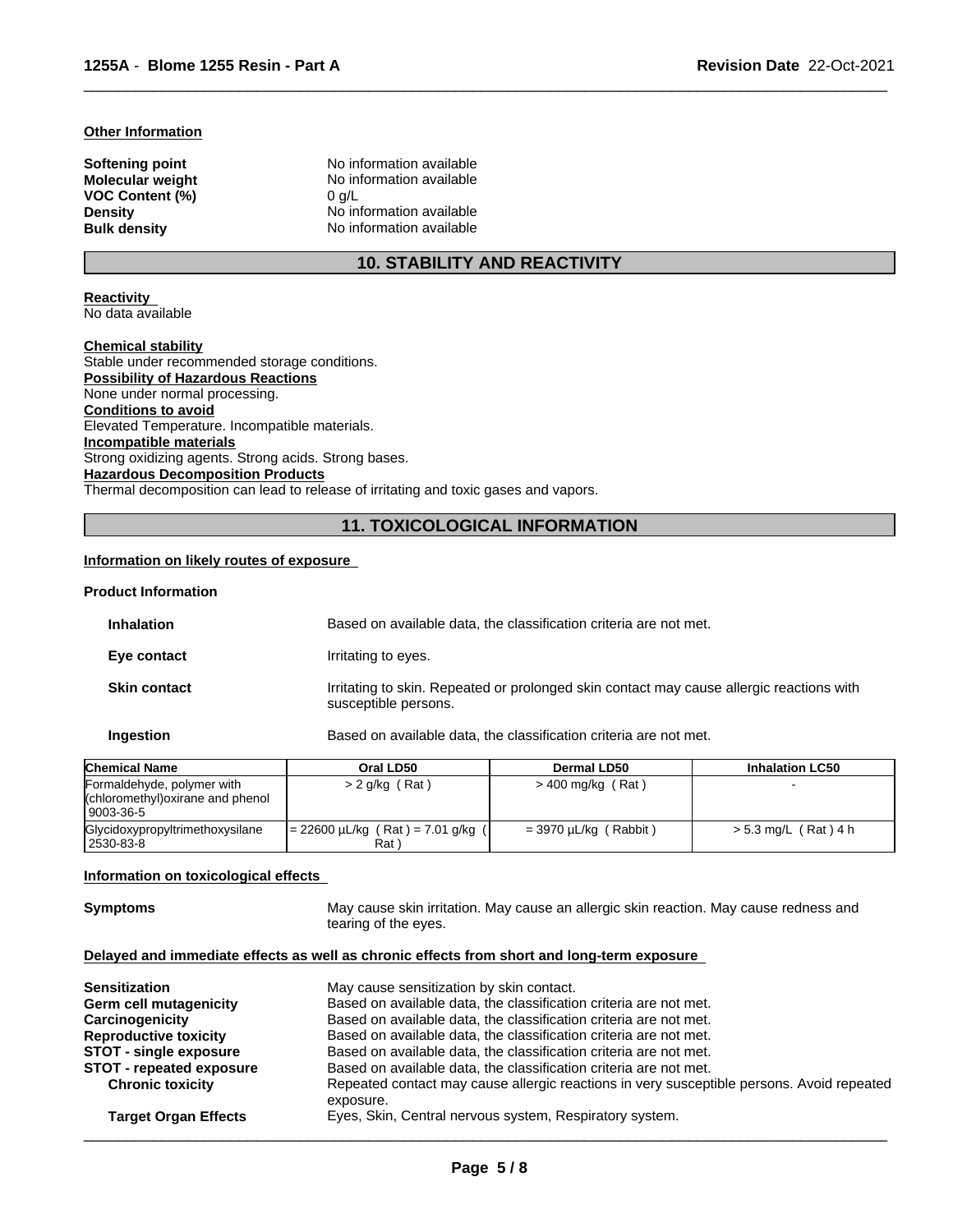# **Other Information**

**VOC Content (%)** 0 g/L

**Softening point No information available**<br> **Molecular weight No information available No information available Density** No information available **Bulk density** No information available

# **10. STABILITY AND REACTIVITY**

 $\overline{\phantom{a}}$  ,  $\overline{\phantom{a}}$  ,  $\overline{\phantom{a}}$  ,  $\overline{\phantom{a}}$  ,  $\overline{\phantom{a}}$  ,  $\overline{\phantom{a}}$  ,  $\overline{\phantom{a}}$  ,  $\overline{\phantom{a}}$  ,  $\overline{\phantom{a}}$  ,  $\overline{\phantom{a}}$  ,  $\overline{\phantom{a}}$  ,  $\overline{\phantom{a}}$  ,  $\overline{\phantom{a}}$  ,  $\overline{\phantom{a}}$  ,  $\overline{\phantom{a}}$  ,  $\overline{\phantom{a}}$ 

**Reactivity** 

No data available

**Chemical stability** Stable under recommended storage conditions. **Possibility of Hazardous Reactions** None under normal processing. **Conditions to avoid** Elevated Temperature. Incompatible materials. **Incompatible materials** Strong oxidizing agents. Strong acids. Strong bases. **Hazardous Decomposition Products** Thermal decomposition can lead to release of irritating and toxic gases and vapors.

# **11. TOXICOLOGICAL INFORMATION**

# **Information on likely routes of exposure**

# **Product Information**

| <b>Inhalation</b>   | Based on available data, the classification criteria are not met.                                                |
|---------------------|------------------------------------------------------------------------------------------------------------------|
| Eye contact         | Irritating to eyes.                                                                                              |
| <b>Skin contact</b> | Irritating to skin. Repeated or prolonged skin contact may cause allergic reactions with<br>susceptible persons. |
| Ingestion           | Based on available data, the classification criteria are not met.                                                |

| <b>Chemical Name</b>                                                         | Oral LD50                                  | <b>Dermal LD50</b>           | <b>Inhalation LC50</b> |
|------------------------------------------------------------------------------|--------------------------------------------|------------------------------|------------------------|
| Formaldehyde, polymer with<br>(chloromethyl) oxirane and phenol<br>9003-36-5 | $> 2$ g/kg (Rat)                           | $>$ 400 mg/kg (Rat)          |                        |
| Glycidoxypropyltrimethoxysilane<br>  2530-83-8                               | = 22600 μL/kg (Rat) = 7.01 g/kg (<br>Rat ` | $=$ 3970 $\mu$ L/kg (Rabbit) | $> 5.3$ mg/L (Rat) 4 h |

#### **Information on toxicological effects**

**Symptoms** May cause skin irritation. May cause an allergic skin reaction. May cause redness and tearing of the eyes.

# **Delayed and immediate effects as well as chronic effects from short and long-term exposure**

| <b>Sensitization</b>            | May cause sensitization by skin contact.                                                               |
|---------------------------------|--------------------------------------------------------------------------------------------------------|
| <b>Germ cell mutagenicity</b>   | Based on available data, the classification criteria are not met.                                      |
| Carcinogenicity                 | Based on available data, the classification criteria are not met.                                      |
| <b>Reproductive toxicity</b>    | Based on available data, the classification criteria are not met.                                      |
| <b>STOT - single exposure</b>   | Based on available data, the classification criteria are not met.                                      |
| <b>STOT - repeated exposure</b> | Based on available data, the classification criteria are not met.                                      |
| <b>Chronic toxicity</b>         | Repeated contact may cause allergic reactions in very susceptible persons. Avoid repeated<br>exposure. |
| <b>Target Organ Effects</b>     | Eyes, Skin, Central nervous system, Respiratory system.                                                |
|                                 |                                                                                                        |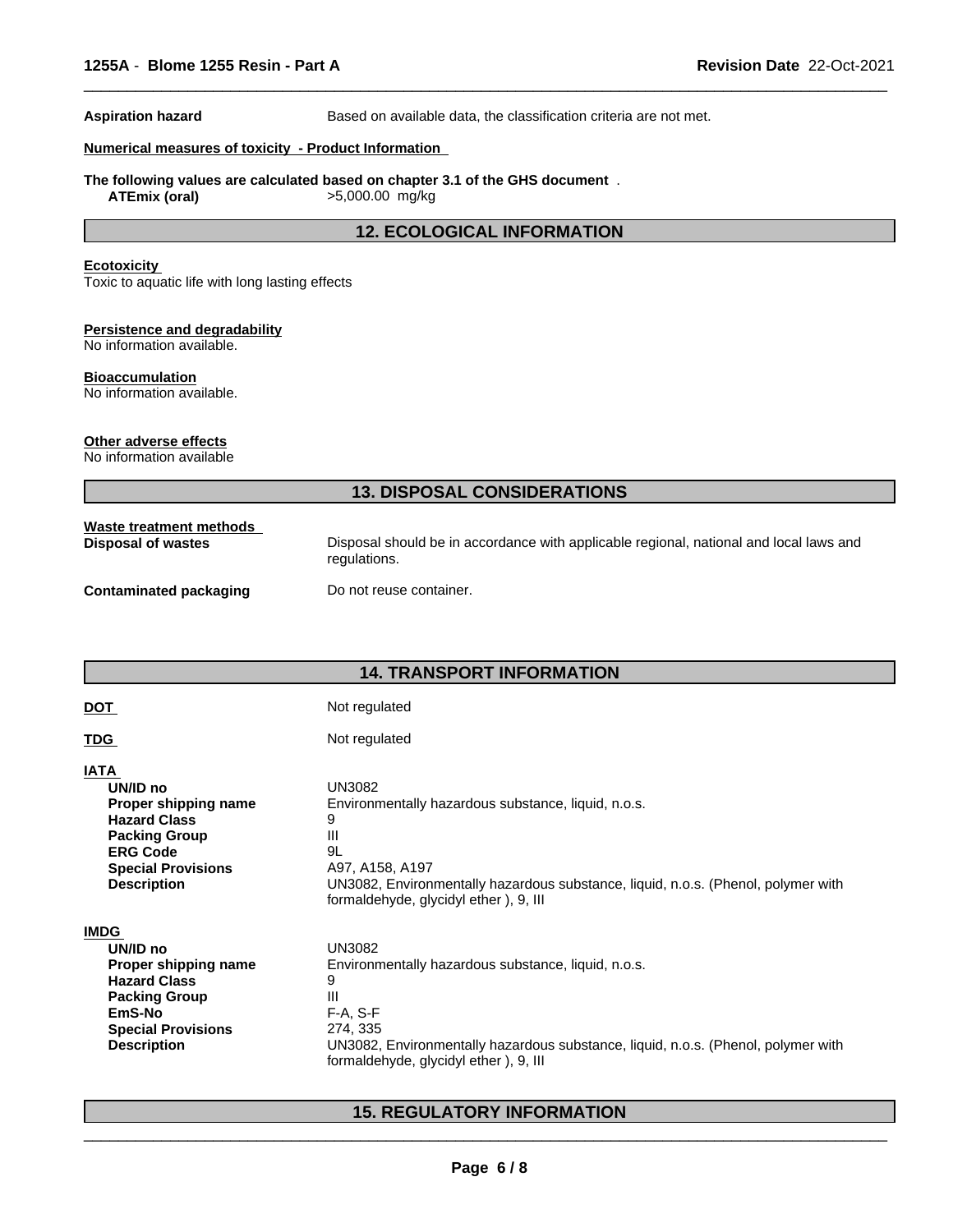**Aspiration hazard** Based on available data, the classification criteria are not met.

 $\overline{\phantom{a}}$  ,  $\overline{\phantom{a}}$  ,  $\overline{\phantom{a}}$  ,  $\overline{\phantom{a}}$  ,  $\overline{\phantom{a}}$  ,  $\overline{\phantom{a}}$  ,  $\overline{\phantom{a}}$  ,  $\overline{\phantom{a}}$  ,  $\overline{\phantom{a}}$  ,  $\overline{\phantom{a}}$  ,  $\overline{\phantom{a}}$  ,  $\overline{\phantom{a}}$  ,  $\overline{\phantom{a}}$  ,  $\overline{\phantom{a}}$  ,  $\overline{\phantom{a}}$  ,  $\overline{\phantom{a}}$ 

# **Numerical measures of toxicity - Product Information**

**The following values are calculated based on chapter 3.1 of the GHS document** .

**ATEmix (oral)** >5,000.00 mg/kg

# **12. ECOLOGICAL INFORMATION**

## **Ecotoxicity**

Toxic to aquatic life with long lasting effects

# **Persistence and degradability**

No information available.

# **Bioaccumulation**

No information available.

# **Other adverse effects**

No information available

# **13. DISPOSAL CONSIDERATIONS**

| Waste treatment methods       | Disposal should be in accordance with applicable regional, national and local laws and |
|-------------------------------|----------------------------------------------------------------------------------------|
| Disposal of wastes            | regulations.                                                                           |
| <b>Contaminated packaging</b> | Do not reuse container.                                                                |

# **14. TRANSPORT INFORMATION**

# DOT Not regulated

**TDG** Not regulated **IATA** 

| А                    |                                                     |
|----------------------|-----------------------------------------------------|
| UN/ID no             | <b>UN3082</b>                                       |
| Proper shipping name | Environmentally hazardous substance, liquid, n.o.s. |

**UN/ID no Hazard Class** 9<br>**Packing Group** 9 **Packing Group** III<br> **FRG Code** 91 **ERG Code Special Provisions** A97, A158, A197<br> **Description** UN3082, Environ

UN3082, Environmentally hazardous substance, liquid, n.o.s. (Phenol, polymer with formaldehyde, glycidyl ether ), 9, III

 $\overline{\phantom{a}}$  ,  $\overline{\phantom{a}}$  ,  $\overline{\phantom{a}}$  ,  $\overline{\phantom{a}}$  ,  $\overline{\phantom{a}}$  ,  $\overline{\phantom{a}}$  ,  $\overline{\phantom{a}}$  ,  $\overline{\phantom{a}}$  ,  $\overline{\phantom{a}}$  ,  $\overline{\phantom{a}}$  ,  $\overline{\phantom{a}}$  ,  $\overline{\phantom{a}}$  ,  $\overline{\phantom{a}}$  ,  $\overline{\phantom{a}}$  ,  $\overline{\phantom{a}}$  ,  $\overline{\phantom{a}}$ 

| IMDG                      |                                                                                   |
|---------------------------|-----------------------------------------------------------------------------------|
| UN/ID no                  | UN3082                                                                            |
| Proper shipping name      | Environmentally hazardous substance, liquid, n.o.s.                               |
| <b>Hazard Class</b>       | 9                                                                                 |
| <b>Packing Group</b>      | Ш                                                                                 |
| EmS-No                    | $F-A. S-F$                                                                        |
| <b>Special Provisions</b> | 274, 335                                                                          |
| <b>Description</b>        | UN3082, Environmentally hazardous substance, liquid, n.o.s. (Phenol, polymer with |
|                           | formaldehyde, glycidyl ether), 9, III                                             |

# **15. REGULATORY INFORMATION**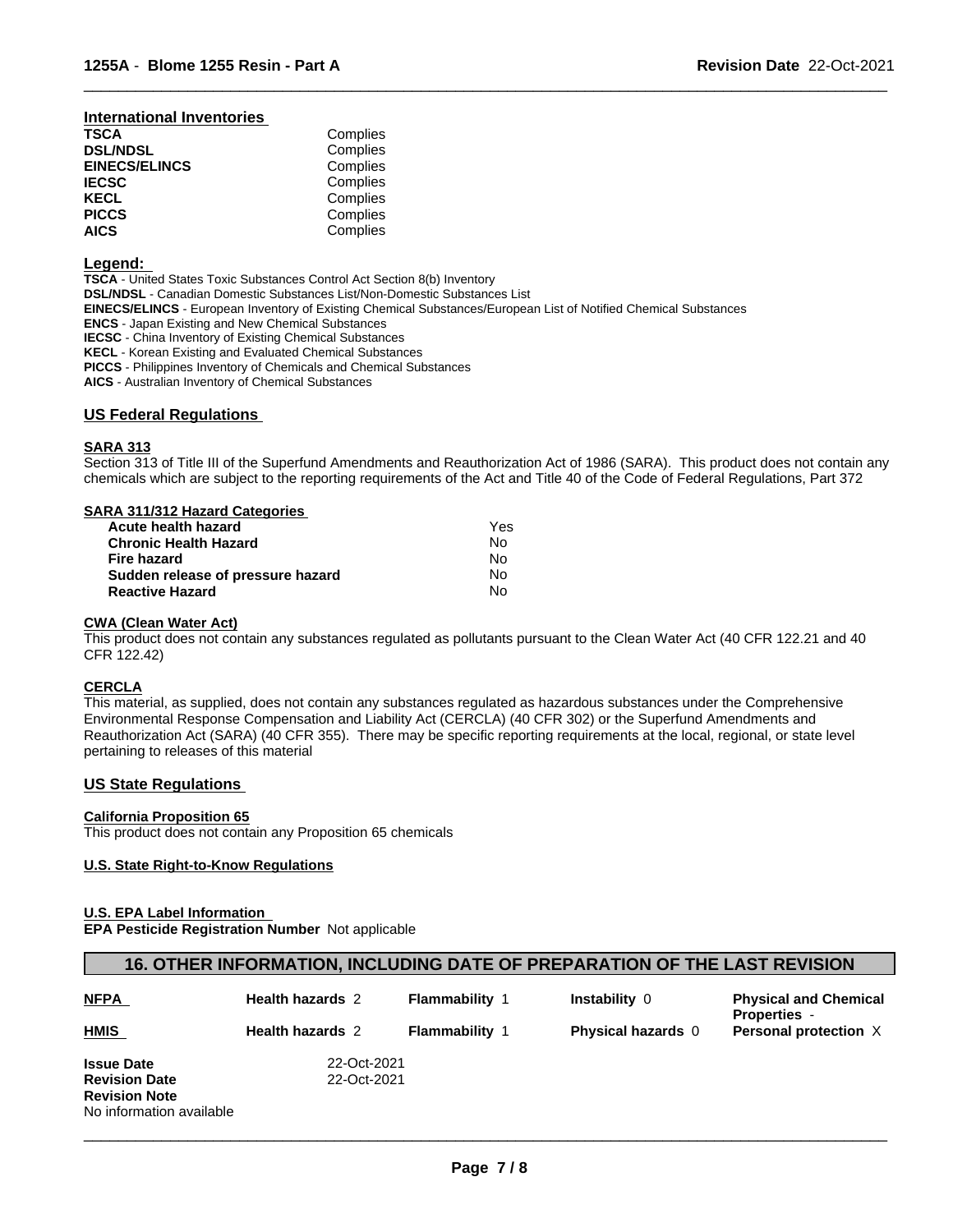#### **International Inventories**

| TSCA                 | Complies |  |
|----------------------|----------|--|
| <b>DSL/NDSL</b>      | Complies |  |
| <b>EINECS/ELINCS</b> | Complies |  |
| <b>IECSC</b>         | Complies |  |
| KECL                 | Complies |  |
| <b>PICCS</b>         | Complies |  |
| <b>AICS</b>          | Complies |  |

# **Legend:**

**TSCA** - United States Toxic Substances Control Act Section 8(b) Inventory **DSL/NDSL** - Canadian Domestic Substances List/Non-Domestic Substances List **EINECS/ELINCS** - European Inventory of Existing Chemical Substances/European List of Notified Chemical Substances **ENCS** - Japan Existing and New Chemical Substances **IECSC** - China Inventory of Existing Chemical Substances **KECL** - Korean Existing and Evaluated Chemical Substances **PICCS** - Philippines Inventory of Chemicals and Chemical Substances

**AICS** - Australian Inventory of Chemical Substances

# **US Federal Regulations**

# **SARA 313**

Section 313 of Title III of the Superfund Amendments and Reauthorization Act of 1986 (SARA). This product does not contain any chemicals which are subject to the reporting requirements of the Act and Title 40 of the Code of Federal Regulations, Part 372

 $\overline{\phantom{a}}$  ,  $\overline{\phantom{a}}$  ,  $\overline{\phantom{a}}$  ,  $\overline{\phantom{a}}$  ,  $\overline{\phantom{a}}$  ,  $\overline{\phantom{a}}$  ,  $\overline{\phantom{a}}$  ,  $\overline{\phantom{a}}$  ,  $\overline{\phantom{a}}$  ,  $\overline{\phantom{a}}$  ,  $\overline{\phantom{a}}$  ,  $\overline{\phantom{a}}$  ,  $\overline{\phantom{a}}$  ,  $\overline{\phantom{a}}$  ,  $\overline{\phantom{a}}$  ,  $\overline{\phantom{a}}$ 

# **SARA 311/312 Hazard Categories**

| Acute health hazard               | Yes |  |
|-----------------------------------|-----|--|
| Chronic Health Hazard             | No. |  |
| Fire hazard                       | No. |  |
| Sudden release of pressure hazard | Nο  |  |
| <b>Reactive Hazard</b>            | No. |  |

#### **CWA (Clean Water Act)**

This product does not contain any substances regulated as pollutants pursuant to the Clean Water Act (40 CFR 122.21 and 40 CFR 122.42)

#### **CERCLA**

This material, as supplied, does not contain any substances regulated as hazardous substances under the Comprehensive Environmental Response Compensation and Liability Act (CERCLA) (40 CFR 302) or the Superfund Amendments and Reauthorization Act (SARA) (40 CFR 355). There may be specific reporting requirements at the local, regional, or state level pertaining to releases of this material

#### **US State Regulations**

### **California Proposition 65**

This product does not contain any Proposition 65 chemicals

# **U.S. State Right-to-Know Regulations**

# **U.S. EPA Label Information**

**EPA Pesticide Registration Number** Not applicable

# **16. OTHER INFORMATION, INCLUDING DATE OF PREPARATION OF THE LAST REVISION**

| <b>NFPA</b>              | <b>Health hazards 2</b> | <b>Flammability 1</b> | Instability 0             | <b>Physical and Chemical</b><br><b>Properties</b> - |
|--------------------------|-------------------------|-----------------------|---------------------------|-----------------------------------------------------|
| <b>HMIS</b>              | <b>Health hazards 2</b> | <b>Flammability 1</b> | <b>Physical hazards</b> 0 | Personal protection X                               |
| <b>Issue Date</b>        | 22-Oct-2021             |                       |                           |                                                     |
| <b>Revision Date</b>     | 22-Oct-2021             |                       |                           |                                                     |
| <b>Revision Note</b>     |                         |                       |                           |                                                     |
| No information available |                         |                       |                           |                                                     |